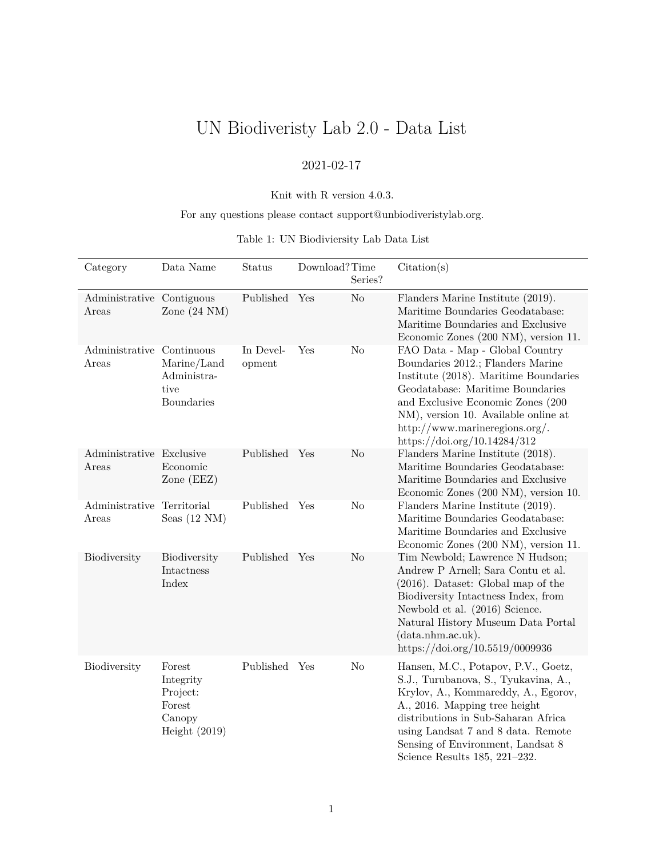# UN Biodiveristy Lab 2.0 - Data List

# 2021-02-17

### Knit with R version 4.0.3.

### For any questions please contact support@unbiodiveristylab.org.

### Table 1: UN Biodiviersity Lab Data List

| Category                            | Data Name                                                              | Status              | Download?Time | Series?        | Citation(s)                                                                                                                                                                                                                                                                                            |
|-------------------------------------|------------------------------------------------------------------------|---------------------|---------------|----------------|--------------------------------------------------------------------------------------------------------------------------------------------------------------------------------------------------------------------------------------------------------------------------------------------------------|
| Administrative Contiguous<br>Areas  | Zone $(24 \text{ NM})$                                                 | Published           | Yes           | No             | Flanders Marine Institute (2019).<br>Maritime Boundaries Geodatabase:<br>Maritime Boundaries and Exclusive<br>Economic Zones (200 NM), version 11.                                                                                                                                                     |
| Administrative Continuous<br>Areas  | Marine/Land<br>Administra-<br>tive<br><b>Boundaries</b>                | In Devel-<br>opment | Yes           | N <sub>o</sub> | FAO Data - Map - Global Country<br>Boundaries 2012.; Flanders Marine<br>Institute (2018). Maritime Boundaries<br>Geodatabase: Maritime Boundaries<br>and Exclusive Economic Zones (200<br>NM), version 10. Available online at<br>http://www.marineregions.org/.<br>https://doi.org/10.14284/312       |
| Administrative Exclusive<br>Areas   | Economic<br>Zone (EEZ)                                                 | Published Yes       |               | N <sub>o</sub> | Flanders Marine Institute (2018).<br>Maritime Boundaries Geodatabase:<br>Maritime Boundaries and Exclusive<br>Economic Zones (200 NM), version 10.                                                                                                                                                     |
| Administrative Territorial<br>Areas | Seas $(12 \text{ NM})$                                                 | Published           | Yes           | No             | Flanders Marine Institute (2019).<br>Maritime Boundaries Geodatabase:<br>Maritime Boundaries and Exclusive<br>Economic Zones (200 NM), version 11.                                                                                                                                                     |
| Biodiversity                        | Biodiversity<br>Intactness<br>Index                                    | Published Yes       |               | No             | Tim Newbold; Lawrence N Hudson;<br>Andrew P Arnell; Sara Contu et al.<br>$(2016)$ . Dataset: Global map of the<br>Biodiversity Intactness Index, from<br>Newbold et al. (2016) Science.<br>Natural History Museum Data Portal<br>(data.nhm.ac.uk).<br>https://doi.org/10.5519/0009936                  |
| Biodiversity                        | Forest<br>Integrity<br>Project:<br>Forest<br>Canopy<br>Height $(2019)$ | Published Yes       |               | N <sub>o</sub> | Hansen, M.C., Potapov, P.V., Goetz,<br>S.J., Turubanova, S., Tyukavina, A.,<br>Krylov, A., Kommareddy, A., Egorov,<br>A., 2016. Mapping tree height<br>distributions in Sub-Saharan Africa<br>using Landsat 7 and 8 data. Remote<br>Sensing of Environment, Landsat 8<br>Science Results 185, 221-232. |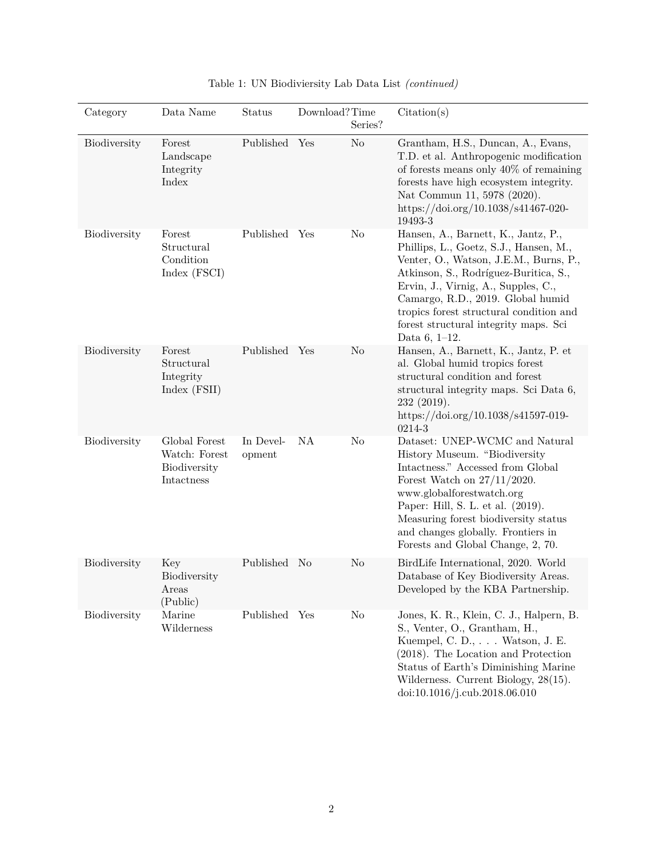| Category            | Data Name                                                    | Status              | Download?Time | Series?        | Citation(s)                                                                                                                                                                                                                                                                                                                                         |
|---------------------|--------------------------------------------------------------|---------------------|---------------|----------------|-----------------------------------------------------------------------------------------------------------------------------------------------------------------------------------------------------------------------------------------------------------------------------------------------------------------------------------------------------|
| <b>Biodiversity</b> | Forest<br>Landscape<br>Integrity<br>Index                    | Published           | Yes           | N <sub>o</sub> | Grantham, H.S., Duncan, A., Evans,<br>T.D. et al. Anthropogenic modification<br>of forests means only $40\%$ of remaining<br>forests have high ecosystem integrity.<br>Nat Commun 11, 5978 (2020).<br>https://doi.org/10.1038/s41467-020-<br>19493-3                                                                                                |
| <b>Biodiversity</b> | Forest<br>Structural<br>Condition<br>Index (FSCI)            | Published           | Yes           | No             | Hansen, A., Barnett, K., Jantz, P.,<br>Phillips, L., Goetz, S.J., Hansen, M.,<br>Venter, O., Watson, J.E.M., Burns, P.,<br>Atkinson, S., Rodríguez-Buritica, S.,<br>Ervin, J., Virnig, A., Supples, C.,<br>Camargo, R.D., 2019. Global humid<br>tropics forest structural condition and<br>forest structural integrity maps. Sci<br>Data $6, 1-12.$ |
| Biodiversity        | Forest<br>Structural<br>Integrity<br>Index (FSII)            | Published           | Yes           | No             | Hansen, A., Barnett, K., Jantz, P. et<br>al. Global humid tropics forest<br>structural condition and forest<br>structural integrity maps. Sci Data 6,<br>232(2019).<br>https://doi.org/10.1038/s41597-019-<br>0214-3                                                                                                                                |
| Biodiversity        | Global Forest<br>Watch: Forest<br>Biodiversity<br>Intactness | In Devel-<br>opment | NA            | No             | Dataset: UNEP-WCMC and Natural<br>History Museum. "Biodiversity<br>Intactness." Accessed from Global<br>Forest Watch on $27/11/2020$ .<br>www.globalforestwatch.org<br>Paper: Hill, S. L. et al. (2019).<br>Measuring forest biodiversity status<br>and changes globally. Frontiers in<br>Forests and Global Change, 2, 70.                         |
| Biodiversity        | Key<br>Biodiversity<br>Areas<br>(Public)                     | Published No        |               | No             | BirdLife International, 2020. World<br>Database of Key Biodiversity Areas.<br>Developed by the KBA Partnership.                                                                                                                                                                                                                                     |
| Biodiversity        | Marine<br>Wilderness                                         | Published Yes       |               | No             | Jones, K. R., Klein, C. J., Halpern, B.<br>S., Venter, O., Grantham, H.,<br>Kuempel, C. D., Watson, J. E.<br>(2018). The Location and Protection<br>Status of Earth's Diminishing Marine<br>Wilderness. Current Biology, 28(15).<br>doi:10.1016/j.cub.2018.06.010                                                                                   |

| Table 1: UN Biodiviersity Lab Data List (continued) |  |
|-----------------------------------------------------|--|
|-----------------------------------------------------|--|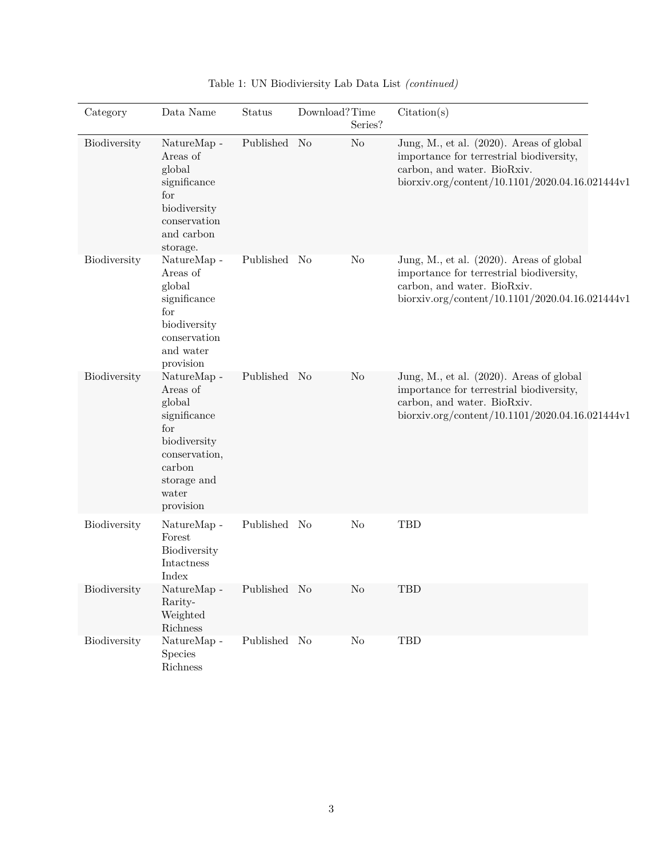| Category     | Data Name                                                                                                                                                 | <b>Status</b> | Download?Time | Series?        | Citation(s)                                                                                                                                                            |
|--------------|-----------------------------------------------------------------------------------------------------------------------------------------------------------|---------------|---------------|----------------|------------------------------------------------------------------------------------------------------------------------------------------------------------------------|
| Biodiversity | NatureMap -<br>Areas of<br>global<br>significance<br>for<br>biodiversity<br>conservation<br>and carbon<br>storage.                                        | Published No  |               | N <sub>o</sub> | Jung, M., et al. (2020). Areas of global<br>importance for terrestrial biodiversity,<br>carbon, and water. BioRxiv.<br>biorxiv.org/content/10.1101/2020.04.16.021444v1 |
| Biodiversity | $\operatorname{NatureMap}$ -<br>Areas of<br>global<br>significance<br>for<br>biodiversity<br>conservation<br>and water<br>provision                       | Published No  |               | No             | Jung, M., et al. (2020). Areas of global<br>importance for terrestrial biodiversity,<br>carbon, and water. BioRxiv.<br>biorxiv.org/content/10.1101/2020.04.16.021444v1 |
| Biodiversity | $\operatorname{NatureMap}$ -<br>Areas of<br>global<br>significance<br>for<br>biodiversity<br>conservation,<br>carbon<br>storage and<br>water<br>provision | Published No  |               | No             | Jung, M., et al. (2020). Areas of global<br>importance for terrestrial biodiversity,<br>carbon, and water. BioRxiv.<br>biorxiv.org/content/10.1101/2020.04.16.021444v1 |
| Biodiversity | NatureMap -<br>Forest<br>Biodiversity<br>Intactness<br>Index                                                                                              | Published No  |               | N <sub>o</sub> | TBD                                                                                                                                                                    |
| Biodiversity | NatureMap -<br>Rarity-<br>Weighted<br>Richness                                                                                                            | Published No  |               | $\rm No$       | TBD                                                                                                                                                                    |
| Biodiversity | NatureMap -<br>Species<br>Richness                                                                                                                        | Published No  |               | $\rm No$       | TBD                                                                                                                                                                    |

Table 1: UN Biodiviersity Lab Data List *(continued)*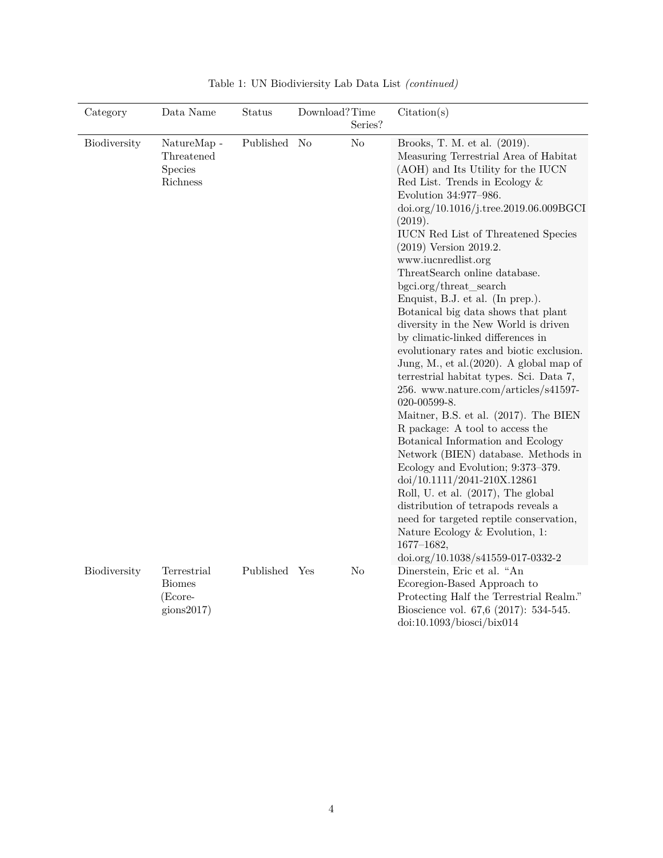| Category            | Data Name                                                     | Status        | Download?Time<br>Series? | Citation(s)                                                                                                                                                                                                                                                                                                                                                                                                                                                                                                                                                                                                                                                                                                                                                                                                                                                                                                                                                                                                                                                                                                                                                                                  |
|---------------------|---------------------------------------------------------------|---------------|--------------------------|----------------------------------------------------------------------------------------------------------------------------------------------------------------------------------------------------------------------------------------------------------------------------------------------------------------------------------------------------------------------------------------------------------------------------------------------------------------------------------------------------------------------------------------------------------------------------------------------------------------------------------------------------------------------------------------------------------------------------------------------------------------------------------------------------------------------------------------------------------------------------------------------------------------------------------------------------------------------------------------------------------------------------------------------------------------------------------------------------------------------------------------------------------------------------------------------|
| <b>Biodiversity</b> | NatureMap -<br>Threatened<br><b>Species</b><br>Richness       | Published     | No<br>No                 | Brooks, T. M. et al. (2019).<br>Measuring Terrestrial Area of Habitat<br>(AOH) and Its Utility for the IUCN<br>Red List. Trends in Ecology $\&$<br>Evolution 34:977-986.<br>doi.org/10.1016/j.tree.2019.06.009BGCI<br>(2019).<br><b>IUCN</b> Red List of Threatened Species<br>$(2019)$ Version 2019.2.<br>www.iucnredlist.org<br>ThreatSearch online database.<br>bgci.org/threat_search<br>Enquist, B.J. et al. (In prep.).<br>Botanical big data shows that plant<br>diversity in the New World is driven<br>by climatic-linked differences in<br>evolutionary rates and biotic exclusion.<br>Jung, M., et al. $(2020)$ . A global map of<br>terrestrial habitat types. Sci. Data 7,<br>256. www.nature.com/articles/s41597-<br>020-00599-8.<br>Maitner, B.S. et al. (2017). The BIEN<br>R package: A tool to access the<br>Botanical Information and Ecology<br>Network (BIEN) database. Methods in<br>Ecology and Evolution; 9:373-379.<br>doi/10.1111/2041-210X.12861<br>Roll, U. et al. (2017), The global<br>distribution of tetrapods reveals a<br>need for targeted reptile conservation,<br>Nature Ecology & Evolution, 1:<br>$1677 - 1682,$<br>doi.org/10.1038/s41559-017-0332-2 |
| Biodiversity        | Terrestrial<br><b>Biomes</b><br>(Ecore-<br>$\text{gions}2017$ | Published Yes | N <sub>o</sub>           | Dinerstein, Eric et al. "An<br>Ecoregion-Based Approach to<br>Protecting Half the Terrestrial Realm."<br>Bioscience vol. 67,6 (2017): 534-545.<br>$doi:10.1093/bi$ osci/bix014                                                                                                                                                                                                                                                                                                                                                                                                                                                                                                                                                                                                                                                                                                                                                                                                                                                                                                                                                                                                               |

Table 1: UN Biodiviersity Lab Data List *(continued)*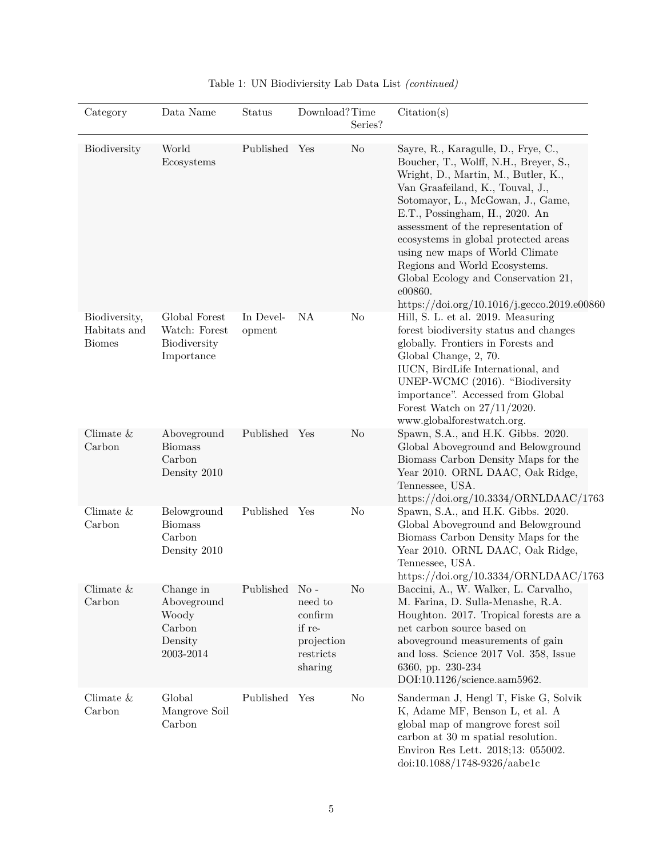| Category                                       | Data Name                                                           | Status              | Download?Time                                                                              | Series?  | Citation(s)                                                                                                                                                                                                                                                                                                                                                                                                                                                                        |
|------------------------------------------------|---------------------------------------------------------------------|---------------------|--------------------------------------------------------------------------------------------|----------|------------------------------------------------------------------------------------------------------------------------------------------------------------------------------------------------------------------------------------------------------------------------------------------------------------------------------------------------------------------------------------------------------------------------------------------------------------------------------------|
| Biodiversity                                   | World<br>Ecosystems                                                 | Published Yes       |                                                                                            | No       | Sayre, R., Karagulle, D., Frye, C.,<br>Boucher, T., Wolff, N.H., Breyer, S.,<br>Wright, D., Martin, M., Butler, K.,<br>Van Graafeiland, K., Touval, J.,<br>Sotomayor, L., McGowan, J., Game,<br>E.T., Possingham, H., 2020. An<br>assessment of the representation of<br>ecosystems in global protected areas<br>using new maps of World Climate<br>Regions and World Ecosystems.<br>Global Ecology and Conservation 21,<br>e00860.<br>https://doi.org/10.1016/j.gecco.2019.e00860 |
| Biodiversity,<br>Habitats and<br><b>Biomes</b> | Global Forest<br>Watch: Forest<br>Biodiversity<br>Importance        | In Devel-<br>opment | NA                                                                                         | No       | Hill, S. L. et al. 2019. Measuring<br>forest biodiversity status and changes<br>globally. Frontiers in Forests and<br>Global Change, 2, 70.<br>IUCN, BirdLife International, and<br>UNEP-WCMC (2016). "Biodiversity<br>importance". Accessed from Global<br>Forest Watch on $27/11/2020$ .<br>www.globalforestwatch.org.                                                                                                                                                           |
| Climate $&$<br>Carbon                          | Aboveground<br><b>Biomass</b><br>Carbon<br>Density 2010             | Published Yes       |                                                                                            | No       | Spawn, S.A., and H.K. Gibbs. 2020.<br>Global Aboveground and Belowground<br>Biomass Carbon Density Maps for the<br>Year 2010. ORNL DAAC, Oak Ridge,<br>Tennessee, USA.<br>https://doi.org/10.3334/ORNLDAAC/1763                                                                                                                                                                                                                                                                    |
| Climate $\&$<br>Carbon                         | Belowground<br><b>Biomass</b><br>Carbon<br>Density 2010             | Published           | Yes                                                                                        | No       | Spawn, S.A., and H.K. Gibbs. 2020.<br>Global Aboveground and Belowground<br>Biomass Carbon Density Maps for the<br>Year 2010. ORNL DAAC, Oak Ridge,<br>Tennessee, USA.<br>https://doi.org/10.3334/ORNLDAAC/1763                                                                                                                                                                                                                                                                    |
| Climate $\&$<br>Carbon                         | Change in<br>Aboveground<br>Woody<br>Carbon<br>Density<br>2003-2014 | Published           | $\overline{N_{O}}$ -<br>need to<br>confirm<br>if re-<br>projection<br>restricts<br>sharing | No       | Baccini, A., W. Walker, L. Carvalho,<br>M. Farina, D. Sulla-Menashe, R.A.<br>Houghton. 2017. Tropical forests are a<br>net carbon source based on<br>aboveground measurements of gain<br>and loss. Science 2017 Vol. 358, Issue<br>6360, pp. 230-234<br>DOI:10.1126/science.aam5962.                                                                                                                                                                                               |
| Climate $\&$<br>Carbon                         | Global<br>Mangrove Soil<br>Carbon                                   | Published           | Yes                                                                                        | $\rm No$ | Sanderman J, Hengl T, Fiske G, Solvik<br>K, Adame MF, Benson L, et al. A<br>global map of mangrove forest soil<br>carbon at 30 m spatial resolution.<br>Environ Res Lett. 2018;13: 055002.<br>$doi:10.1088/1748-9326/aabe1c$                                                                                                                                                                                                                                                       |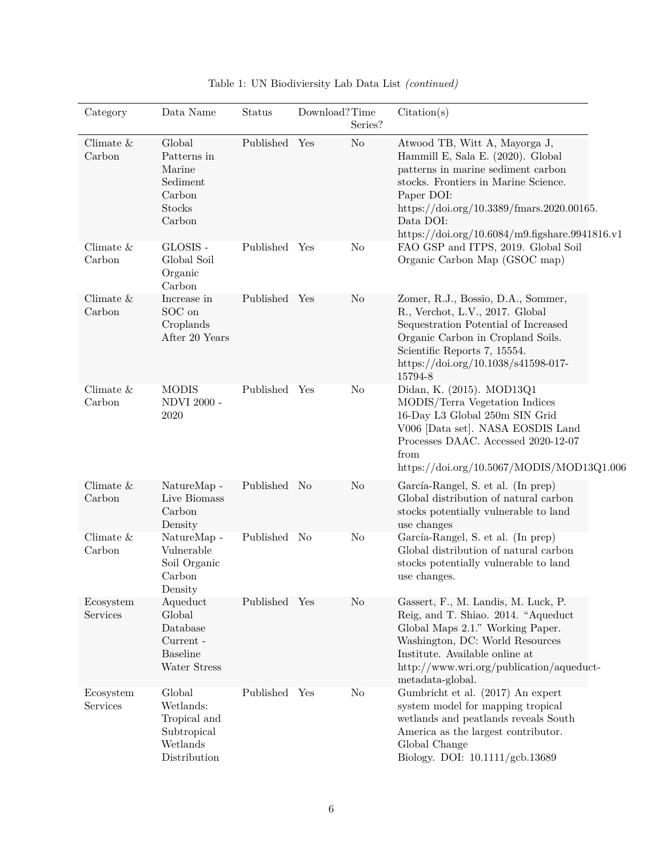| Category               | Data Name                                                                      | Status        | Download?Time | Series?        | Citation(s)                                                                                                                                                                                                                                                                |
|------------------------|--------------------------------------------------------------------------------|---------------|---------------|----------------|----------------------------------------------------------------------------------------------------------------------------------------------------------------------------------------------------------------------------------------------------------------------------|
| Climate $\&$<br>Carbon | Global<br>Patterns in<br>Marine<br>Sediment<br>Carbon<br>Stocks<br>Carbon      | Published Yes |               | N <sub>o</sub> | Atwood TB, Witt A, Mayorga J,<br>Hammill E, Sala E. (2020). Global<br>patterns in marine sediment carbon<br>stocks. Frontiers in Marine Science.<br>Paper DOI:<br>https://doi.org/10.3389/fmars.2020.00165.<br>Data DOI:<br>https://doi.org/10.6084/m9.figshare.9941816.v1 |
| Climate $&$<br>Carbon  | GLOSIS -<br>Global Soil<br>Organic<br>Carbon                                   | Published Yes |               | No             | FAO GSP and ITPS, 2019. Global Soil<br>Organic Carbon Map (GSOC map)                                                                                                                                                                                                       |
| Climate $\&$<br>Carbon | Increase in<br>SOC on<br>Croplands<br>After 20 Years                           | Published Yes |               | No             | Zomer, R.J., Bossio, D.A., Sommer,<br>R., Verchot, L.V., 2017. Global<br>Sequestration Potential of Increased<br>Organic Carbon in Cropland Soils.<br>Scientific Reports 7, 15554.<br>https://doi.org/10.1038/s41598-017-<br>15794-8                                       |
| Climate $&$<br>Carbon  | <b>MODIS</b><br><b>NDVI 2000 -</b><br>2020                                     | Published Yes |               | No             | Didan, K. (2015). MOD13Q1<br>MODIS/Terra Vegetation Indices<br>16-Day L3 Global 250m SIN Grid<br>V006 [Data set]. NASA EOSDIS Land<br>Processes DAAC. Accessed 2020-12-07<br>from<br>https://doi.org/10.5067/MODIS/MOD13Q1.006                                             |
| Climate $\&$<br>Carbon | NatureMap -<br>Live Biomass<br>Carbon<br>Density                               | Published No  |               | No             | García-Rangel, S. et al. (In prep)<br>Global distribution of natural carbon<br>stocks potentially vulnerable to land<br>use changes                                                                                                                                        |
| Climate $&$<br>Carbon  | NatureMap -<br>Vulnerable<br>Soil Organic<br>Carbon<br>Density                 | Published No  |               | N <sub>o</sub> | García-Rangel, S. et al. (In prep)<br>Global distribution of natural carbon<br>stocks potentially vulnerable to land<br>use changes.                                                                                                                                       |
| Ecosystem<br>Services  | Aqueduct<br>Global<br>Database<br>Current -<br><b>Baseline</b><br>Water Stress | Published Yes |               | No             | Gassert, F., M. Landis, M. Luck, P.<br>Reig, and T. Shiao. 2014. "Aqueduct<br>Global Maps 2.1." Working Paper.<br>Washington, DC: World Resources<br>Institute. Available online at<br>http://www.wri.org/publication/aqueduct-<br>metadata-global.                        |
| Ecosystem<br>Services  | Global<br>Wetlands:<br>Tropical and<br>Subtropical<br>Wetlands<br>Distribution | Published Yes |               | N <sub>o</sub> | Gumbricht et al. (2017) An expert<br>system model for mapping tropical<br>wetlands and peatlands reveals South<br>America as the largest contributor.<br>Global Change<br>Biology. DOI: 10.1111/gcb.13689                                                                  |

| Table 1: UN Biodiviersity Lab Data List (continued) |
|-----------------------------------------------------|
|-----------------------------------------------------|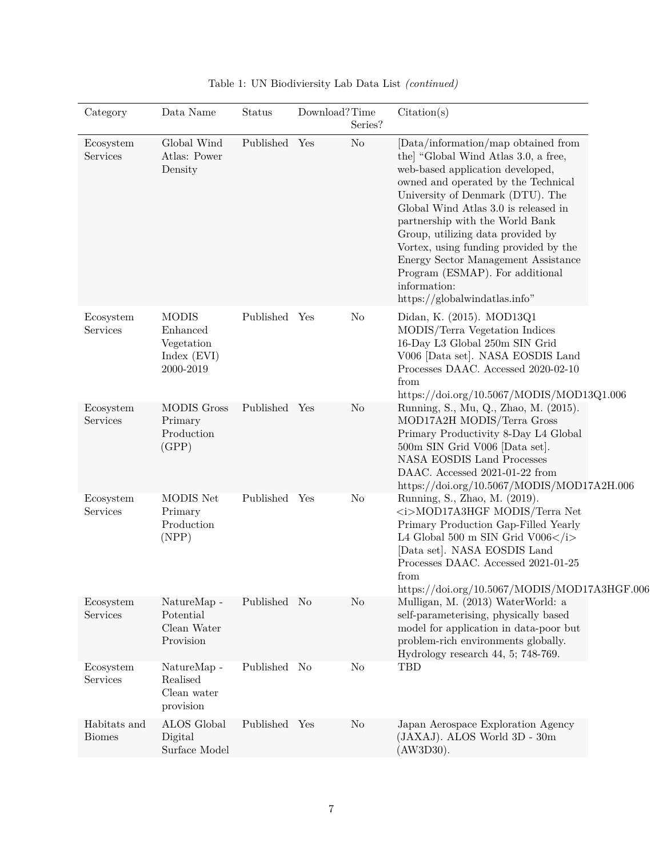| Category                      | Data Name                                                          | Status        | Download?Time | Series?        | Citation(s)                                                                                                                                                                                                                                                                                                                                                                                                                                                                   |
|-------------------------------|--------------------------------------------------------------------|---------------|---------------|----------------|-------------------------------------------------------------------------------------------------------------------------------------------------------------------------------------------------------------------------------------------------------------------------------------------------------------------------------------------------------------------------------------------------------------------------------------------------------------------------------|
| Ecosystem<br>Services         | Global Wind<br>Atlas: Power<br>Density                             | Published Yes |               | N <sub>o</sub> | [Data/information/map obtained from<br>the "Global Wind Atlas 3.0, a free,<br>web-based application developed,<br>owned and operated by the Technical<br>University of Denmark (DTU). The<br>Global Wind Atlas 3.0 is released in<br>partnership with the World Bank<br>Group, utilizing data provided by<br>Vortex, using funding provided by the<br>Energy Sector Management Assistance<br>Program (ESMAP). For additional<br>information:<br>https://globalwindatlas.info" |
| Ecosystem<br>Services         | <b>MODIS</b><br>Enhanced<br>Vegetation<br>Index (EVI)<br>2000-2019 | Published Yes |               | N <sub>o</sub> | Didan, K. (2015). MOD13Q1<br>MODIS/Terra Vegetation Indices<br>16-Day L3 Global 250m SIN Grid<br>V006 [Data set]. NASA EOSDIS Land<br>Processes DAAC. Accessed 2020-02-10<br>from<br>https://doi.org/10.5067/MODIS/MOD13Q1.006                                                                                                                                                                                                                                                |
| Ecosystem<br>Services         | <b>MODIS Gross</b><br>Primary<br>Production<br>(GPP)               | Published Yes |               | No             | Running, S., Mu, Q., Zhao, M. (2015).<br>MOD17A2H MODIS/Terra Gross<br>Primary Productivity 8-Day L4 Global<br>500m SIN Grid V006 [Data set].<br><b>NASA EOSDIS Land Processes</b><br>DAAC. Accessed 2021-01-22 from<br>https://doi.org/10.5067/MODIS/MOD17A2H.006                                                                                                                                                                                                            |
| Ecosystem<br>Services         | MODIS Net<br>Primary<br>Production<br>(NPP)                        | Published Yes |               | N <sub>o</sub> | Running, S., Zhao, M. (2019).<br><i>MOD17A3HGF MODIS/Terra Net<br/>Primary Production Gap-Filled Yearly<br/>L4 Global 500 m SIN Grid V006</i><br>[Data set]. NASA EOSDIS Land<br>Processes DAAC. Accessed 2021-01-25<br>from<br>https://doi.org/10.5067/MODIS/MOD17A3HGF.006                                                                                                                                                                                                  |
| Ecosystem<br>Services         | NatureMap -<br>Potential<br>Clean Water<br>Provision               | Published No  |               | N <sub>o</sub> | Mulligan, M. (2013) WaterWorld: a<br>self-parameterising, physically based<br>model for application in data-poor but<br>problem-rich environments globally.<br>Hydrology research 44, 5; 748-769.                                                                                                                                                                                                                                                                             |
| Ecosystem<br>Services         | NatureMap -<br>Realised<br>Clean water<br>provision                | Published No  |               | No             | <b>TBD</b>                                                                                                                                                                                                                                                                                                                                                                                                                                                                    |
| Habitats and<br><b>Biomes</b> | <b>ALOS</b> Global<br>Digital<br>Surface Model                     | Published Yes |               | No             | Japan Aerospace Exploration Agency<br>(JAXAJ). ALOS World 3D - 30m<br>(AW3D30).                                                                                                                                                                                                                                                                                                                                                                                               |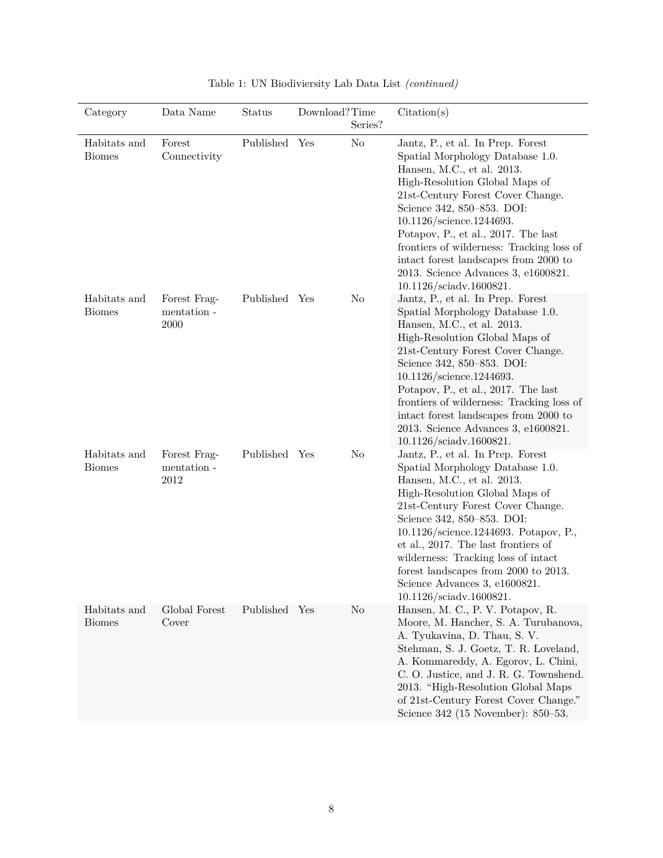| Category                      | Data Name                           | <b>Status</b> | Download?Time<br>Series? | Citation(s)                                                                                                                                                                                                                                                                                                                                                                                                                                  |
|-------------------------------|-------------------------------------|---------------|--------------------------|----------------------------------------------------------------------------------------------------------------------------------------------------------------------------------------------------------------------------------------------------------------------------------------------------------------------------------------------------------------------------------------------------------------------------------------------|
| Habitats and<br><b>Biomes</b> | Forest<br>Connectivity              | Published Yes | No                       | Jantz, P., et al. In Prep. Forest<br>Spatial Morphology Database 1.0.<br>Hansen, M.C., et al. 2013.<br>High-Resolution Global Maps of<br>21st-Century Forest Cover Change.<br>Science 342, 850-853. DOI:<br>10.1126/science.1244693.<br>Potapov, P., et al., 2017. The last<br>frontiers of wilderness: Tracking loss of<br>intact forest landscapes from 2000 to<br>2013. Science Advances 3, e1600821.<br>$10.1126/\text{sciadv}.1600821.$ |
| Habitats and<br><b>Biomes</b> | Forest Frag-<br>mentation -<br>2000 | Published Yes | No                       | Jantz, P., et al. In Prep. Forest<br>Spatial Morphology Database 1.0.<br>Hansen, M.C., et al. 2013.<br>High-Resolution Global Maps of<br>21st-Century Forest Cover Change.<br>Science 342, 850-853. DOI:<br>10.1126/science.1244693.<br>Potapov, P., et al., 2017. The last<br>frontiers of wilderness: Tracking loss of<br>intact forest landscapes from 2000 to<br>2013. Science Advances 3, e1600821.<br>10.1126/sciadv.1600821.          |
| Habitats and<br><b>Biomes</b> | Forest Frag-<br>mentation -<br>2012 | Published Yes | No                       | Jantz, P., et al. In Prep. Forest<br>Spatial Morphology Database 1.0.<br>Hansen, M.C., et al. 2013.<br>High-Resolution Global Maps of<br>21st-Century Forest Cover Change.<br>Science 342, 850–853. DOI:<br>10.1126/science.1244693. Potapov, P.,<br>et al., 2017. The last frontiers of<br>wilderness: Tracking loss of intact<br>forest landscapes from 2000 to 2013.<br>Science Advances 3, e1600821.<br>$10.1126/\text{sciadv}.1600821.$ |
| Habitats and<br><b>Biomes</b> | Global Forest<br>Cover              | Published Yes | No                       | Hansen, M. C., P. V. Potapov, R.<br>Moore, M. Hancher, S. A. Turubanova,<br>A. Tyukavina, D. Thau, S. V.<br>Stehman, S. J. Goetz, T. R. Loveland,<br>A. Kommareddy, A. Egorov, L. Chini,<br>C. O. Justice, and J. R. G. Townshend.<br>2013. "High-Resolution Global Maps<br>of 21st-Century Forest Cover Change."<br>Science 342 (15 November): 850–53.                                                                                      |

| Table 1: UN Biodiviersity Lab Data List (continued) |  |
|-----------------------------------------------------|--|
|-----------------------------------------------------|--|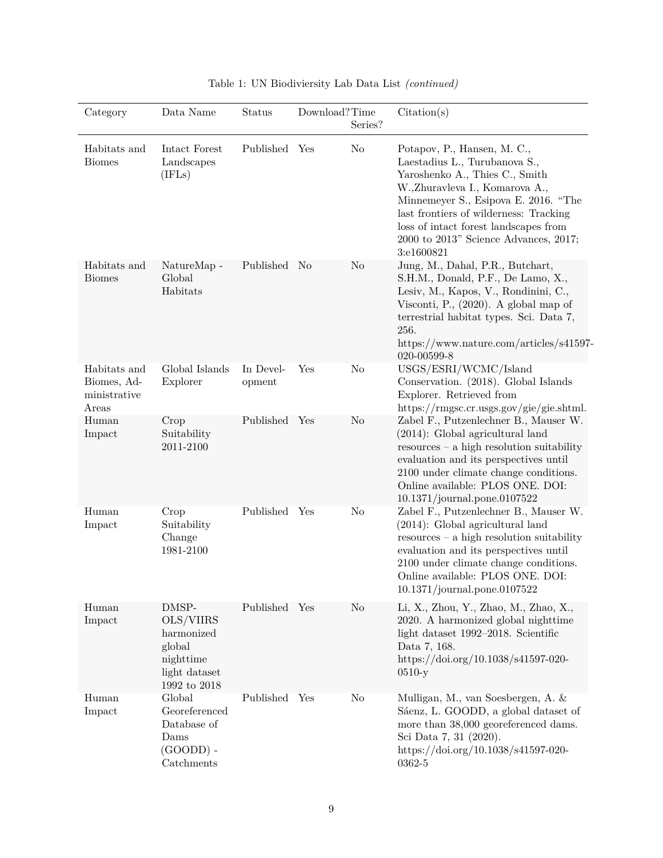| Category                                             | Data Name                                                                                   | Status              | Download?Time | Series?        | Citation(s)                                                                                                                                                                                                                                                                                                              |
|------------------------------------------------------|---------------------------------------------------------------------------------------------|---------------------|---------------|----------------|--------------------------------------------------------------------------------------------------------------------------------------------------------------------------------------------------------------------------------------------------------------------------------------------------------------------------|
| Habitats and<br><b>Biomes</b>                        | Intact Forest<br>Landscapes<br>(IFLs)                                                       | Published Yes       |               | No             | Potapov, P., Hansen, M. C.,<br>Laestadius L., Turubanova S.,<br>Yaroshenko A., Thies C., Smith<br>W.,Zhuravleva I., Komarova A.,<br>Minnemeyer S., Esipova E. 2016. "The<br>last frontiers of wilderness: Tracking<br>loss of intact forest landscapes from<br>$2000$ to $2013"$ Science Advances, $2017;$<br>3:e1600821 |
| Habitats and<br><b>Biomes</b>                        | NatureMap -<br>Global<br>Habitats                                                           | Published No        |               | No             | Jung, M., Dahal, P.R., Butchart,<br>S.H.M., Donald, P.F., De Lamo, X.,<br>Lesiv, M., Kapos, V., Rondinini, C.,<br>Visconti, P., $(2020)$ . A global map of<br>terrestrial habitat types. Sci. Data 7,<br>256.<br>https://www.nature.com/articles/s41597-<br>020-00599-8                                                  |
| Habitats and<br>Biomes, Ad-<br>ministrative<br>Areas | Global Islands<br>Explorer                                                                  | In Devel-<br>opment | Yes           | N <sub>o</sub> | USGS/ESRI/WCMC/Island<br>Conservation. (2018). Global Islands<br>Explorer. Retrieved from<br>https://rmgsc.cr.usgs.gov/gie/gie.shtml.                                                                                                                                                                                    |
| Human<br>Impact                                      | Crop<br>Suitability<br>2011-2100                                                            | Published Yes       |               | N <sub>o</sub> | Zabel F., Putzenlechner B., Mauser W.<br>$(2014)$ : Global agricultural land<br>$resources - a high resolution suitability$<br>evaluation and its perspectives until<br>2100 under climate change conditions.<br>Online available: PLOS ONE. DOI:<br>10.1371/journal.pone.0107522                                        |
| Human<br>Impact                                      | Crop<br>Suitability<br>Change<br>1981-2100                                                  | Published Yes       |               | No             | Zabel F., Putzenlechner B., Mauser W.<br>$(2014)$ : Global agricultural land<br>$resources - a high resolution suitability$<br>evaluation and its perspectives until<br>2100 under climate change conditions.<br>Online available: PLOS ONE. DOI:<br>$10.1371$ /journal.pone.0107522                                     |
| Human<br>Impact                                      | DMSP-<br>OLS/VIIRS<br>harmonized<br>global<br>nighttime<br>light dataset<br>1992 to 2018    | Published Yes       |               | No             | Li, X., Zhou, Y., Zhao, M., Zhao, X.,<br>2020. A harmonized global nighttime<br>light dataset 1992-2018. Scientific<br>Data 7, 168.<br>https://doi.org/10.1038/s41597-020-<br>$0510-y$                                                                                                                                   |
| Human<br>Impact                                      | Global<br>Georeferenced<br>Database of<br>Dams<br>$(GOOD)$ -<br>$\operatorname{Catchments}$ | Published Yes       |               | $\rm No$       | Mulligan, M., van Soesbergen, A. &<br>Sáenz, L. GOODD, a global dataset of<br>more than 38,000 georeferenced dams.<br>Sci Data 7, 31 (2020).<br>https://doi.org/10.1038/s41597-020-<br>0362-5                                                                                                                            |

| Table 1: UN Biodiviersity Lab Data List (continued) |
|-----------------------------------------------------|
|-----------------------------------------------------|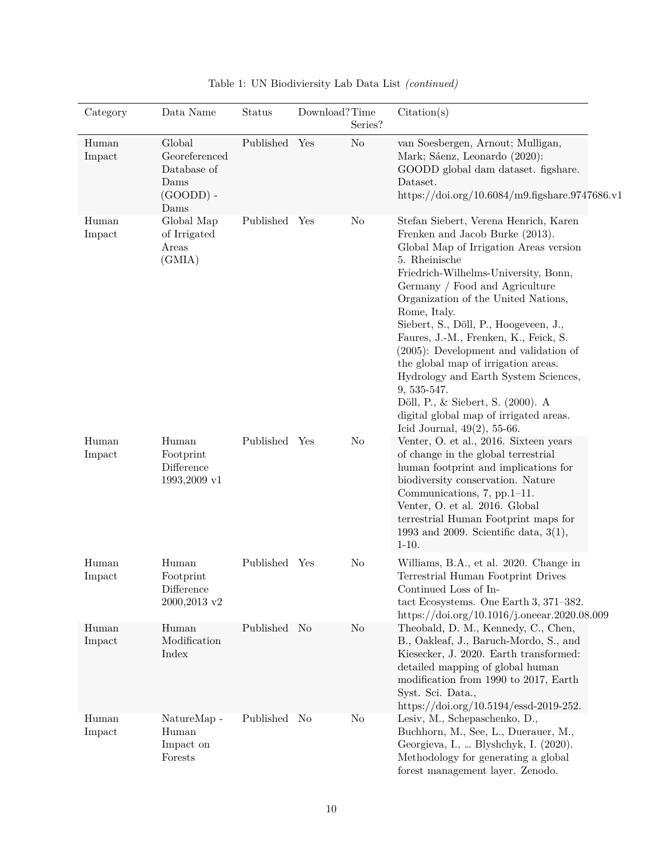| Category        | Data Name                                                                            | Status        | Download?Time | Series?        | Citation(s)                                                                                                                                                                                                                                                                                                                                                                                                                                                                                                                                                                                                       |
|-----------------|--------------------------------------------------------------------------------------|---------------|---------------|----------------|-------------------------------------------------------------------------------------------------------------------------------------------------------------------------------------------------------------------------------------------------------------------------------------------------------------------------------------------------------------------------------------------------------------------------------------------------------------------------------------------------------------------------------------------------------------------------------------------------------------------|
| Human<br>Impact | Global<br>Georeferenced<br>Database of<br>Dams<br>$(GOOD)$ -<br>Dams                 | Published Yes |               | No             | van Soesbergen, Arnout; Mulligan,<br>Mark; Sáenz, Leonardo (2020):<br>GOODD global dam dataset. figshare.<br>Dataset.<br>https://doi.org/10.6084/m9.figshare.9747686.v1                                                                                                                                                                                                                                                                                                                                                                                                                                           |
| Human<br>Impact | Global Map<br>of Irrigated<br>Areas<br>(GMIA)                                        | Published Yes |               | No             | Stefan Siebert, Verena Henrich, Karen<br>Frenken and Jacob Burke (2013).<br>Global Map of Irrigation Areas version<br>5. Rheinische<br>Friedrich-Wilhelms-University, Bonn,<br>Germany / Food and Agriculture<br>Organization of the United Nations,<br>Rome, Italy.<br>Siebert, S., Döll, P., Hoogeveen, J.,<br>Faures, J.-M., Frenken, K., Feick, S.<br>$(2005)$ : Development and validation of<br>the global map of irrigation areas.<br>Hydrology and Earth System Sciences,<br>9, 535-547.<br>Döll, P., & Siebert, S. (2000). A<br>digital global map of irrigated areas.<br>Icid Journal, $49(2)$ , 55-66. |
| Human<br>Impact | Human<br>Footprint<br>Difference<br>1993,2009 v1                                     | Published Yes |               | N <sub>o</sub> | Venter, O. et al., 2016. Sixteen years<br>of change in the global terrestrial<br>human footprint and implications for<br>biodiversity conservation. Nature<br>Communications, 7, pp.1-11.<br>Venter, O. et al. 2016. Global<br>terrestrial Human Footprint maps for<br>1993 and 2009. Scientific data, $3(1)$ ,<br>$1-10.$                                                                                                                                                                                                                                                                                        |
| Human<br>Impact | Human<br>Footprint<br>$\begin{array}{c}\text{Difference}\end{array}$<br>2000,2013 v2 | Published     | Yes           | $\rm No$       | Williams, B.A., et al. 2020. Change in<br>Terrestrial Human Footprint Drives<br>Continued Loss of In-<br>tact Ecosystems. One Earth 3, 371-382.<br>https://doi.org/10.1016/j.oneear.2020.08.009                                                                                                                                                                                                                                                                                                                                                                                                                   |
| Human<br>Impact | Human<br>Modification<br>Index                                                       | Published No  |               | No             | Theobald, D. M., Kennedy, C., Chen,<br>B., Oakleaf, J., Baruch-Mordo, S., and<br>Kiesecker, J. 2020. Earth transformed:<br>detailed mapping of global human<br>modification from 1990 to 2017, Earth<br>Syst. Sci. Data.,<br>https://doi.org/10.5194/essd-2019-252.                                                                                                                                                                                                                                                                                                                                               |
| Human<br>Impact | NatureMap -<br>Human<br>Impact on<br>Forests                                         | Published No  |               | No             | Lesiv, M., Schepaschenko, D.,<br>Buchhorn, M., See, L., Duerauer, M.,<br>Georgieva, I.,  Blyshchyk, I. (2020).<br>Methodology for generating a global<br>forest management layer. Zenodo.                                                                                                                                                                                                                                                                                                                                                                                                                         |

| Table 1: UN Biodiviersity Lab Data List (continued) |  |
|-----------------------------------------------------|--|
|-----------------------------------------------------|--|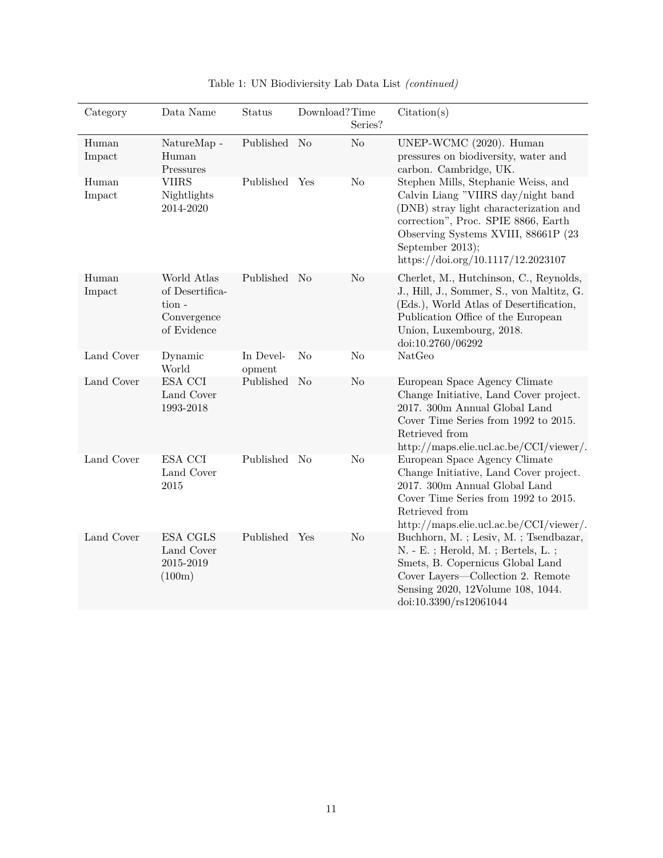| Category        | Data Name                                                             | <b>Status</b>       | Download?Time  | Series?        | Citation(s)                                                                                                                                                                                                                                                  |
|-----------------|-----------------------------------------------------------------------|---------------------|----------------|----------------|--------------------------------------------------------------------------------------------------------------------------------------------------------------------------------------------------------------------------------------------------------------|
| Human<br>Impact | NatureMap -<br>Human<br>Pressures                                     | Published           | N <sub>o</sub> | No             | UNEP-WCMC (2020). Human<br>pressures on biodiversity, water and<br>carbon. Cambridge, UK.                                                                                                                                                                    |
| Human<br>Impact | <b>VIIRS</b><br>Nightlights<br>2014-2020                              | Published Yes       |                | $\rm No$       | Stephen Mills, Stephanie Weiss, and<br>Calvin Liang "VIIRS day/night band<br>(DNB) stray light characterization and<br>correction", Proc. SPIE 8866, Earth<br>Observing Systems XVIII, 88661P (23)<br>September 2013);<br>https://doi.org/10.1117/12.2023107 |
| Human<br>Impact | World Atlas<br>of Desertifica-<br>tion-<br>Convergence<br>of Evidence | Published No        |                | N <sub>o</sub> | Cherlet, M., Hutchinson, C., Reynolds,<br>J., Hill, J., Sommer, S., von Maltitz, G.<br>(Eds.), World Atlas of Desertification,<br>Publication Office of the European<br>Union, Luxembourg, 2018.<br>doi:10.2760/06292                                        |
| Land Cover      | Dynamic<br>World                                                      | In Devel-<br>opment | No             | $\rm No$       | NatGeo                                                                                                                                                                                                                                                       |
| Land Cover      | ESA CCI<br>Land Cover<br>1993-2018                                    | Published           | No             | N <sub>o</sub> | European Space Agency Climate<br>Change Initiative, Land Cover project.<br>2017. 300m Annual Global Land<br>Cover Time Series from 1992 to 2015.<br>Retrieved from<br>http://maps.elie.ucl.ac.be/CCI/viewer/.                                                |
| Land Cover      | ESA CCI<br>Land Cover<br>$\,2015$                                     | Published No        |                | No             | European Space Agency Climate<br>Change Initiative, Land Cover project.<br>2017. 300m Annual Global Land<br>Cover Time Series from 1992 to 2015.<br>Retrieved from<br>http://maps.elie.ucl.ac.be/CCI/viewer/.                                                |
| Land Cover      | <b>ESA CGLS</b><br>Land Cover<br>2015-2019<br>(100m)                  | Published Yes       |                | N <sub>o</sub> | Buchhorn, M.; Lesiv, M.; Tsendbazar,<br>N. - E. ; Herold, M. ; Bertels, L. ;<br>Smets, B. Copernicus Global Land<br>Cover Layers—Collection 2. Remote<br>Sensing 2020, 12Volume 108, 1044.<br>doi:10.3390/rs12061044                                         |

# Table 1: UN Biodiviersity Lab Data List *(continued)*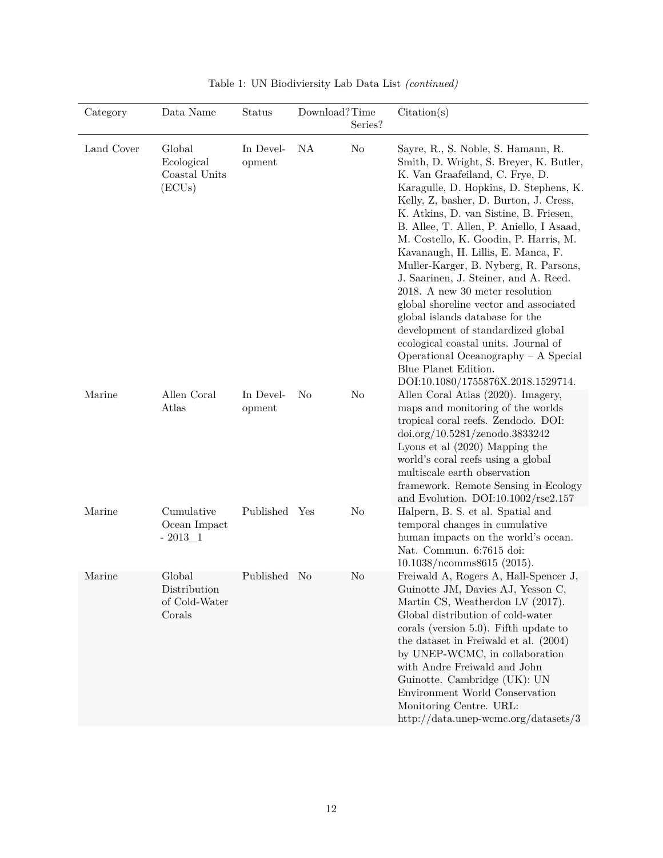| Category   | Data Name                                         | Status              | Download?Time | Series? | Citation(s)                                                                                                                                                                                                                                                                                                                                                                                                                                                                                                                                                                                                                                                                                                                                                       |
|------------|---------------------------------------------------|---------------------|---------------|---------|-------------------------------------------------------------------------------------------------------------------------------------------------------------------------------------------------------------------------------------------------------------------------------------------------------------------------------------------------------------------------------------------------------------------------------------------------------------------------------------------------------------------------------------------------------------------------------------------------------------------------------------------------------------------------------------------------------------------------------------------------------------------|
| Land Cover | Global<br>Ecological<br>Coastal Units<br>(ECUs)   | In Devel-<br>opment | NA            | No      | Sayre, R., S. Noble, S. Hamann, R.<br>Smith, D. Wright, S. Breyer, K. Butler,<br>K. Van Graafeiland, C. Frye, D.<br>Karagulle, D. Hopkins, D. Stephens, K.<br>Kelly, Z, basher, D. Burton, J. Cress,<br>K. Atkins, D. van Sistine, B. Friesen,<br>B. Allee, T. Allen, P. Aniello, I Asaad,<br>M. Costello, K. Goodin, P. Harris, M.<br>Kavanaugh, H. Lillis, E. Manca, F.<br>Muller-Karger, B. Nyberg, R. Parsons,<br>J. Saarinen, J. Steiner, and A. Reed.<br>2018. A new 30 meter resolution<br>global shoreline vector and associated<br>global islands database for the<br>development of standardized global<br>ecological coastal units. Journal of<br>Operational Oceanography $- A$ Special<br>Blue Planet Edition.<br>DOI:10.1080/1755876X.2018.1529714. |
| Marine     | Allen Coral<br>Atlas                              | In Devel-<br>opment | No            | No      | Allen Coral Atlas (2020). Imagery,<br>maps and monitoring of the worlds<br>tropical coral reefs. Zendodo. DOI:<br>$\frac{\text{doi.org}}{10.5281}\text{/zenodo}.3833242$<br>Lyons et al $(2020)$ Mapping the<br>world's coral reefs using a global<br>multiscale earth observation<br>framework. Remote Sensing in Ecology<br>and Evolution. DOI:10.1002/ $r$ se2.157                                                                                                                                                                                                                                                                                                                                                                                             |
| Marine     | Cumulative<br>Ocean Impact<br>$-2013 - 1$         | Published Yes       |               | No      | Halpern, B. S. et al. Spatial and<br>temporal changes in cumulative<br>human impacts on the world's ocean.<br>Nat. Commun. 6:7615 doi:<br>10.1038/ncomms8615 (2015).                                                                                                                                                                                                                                                                                                                                                                                                                                                                                                                                                                                              |
| Marine     | Global<br>Distribution<br>of Cold-Water<br>Corals | Published No        |               | No      | Freiwald A, Rogers A, Hall-Spencer J,<br>Guinotte JM, Davies AJ, Yesson C,<br>Martin CS, Weatherdon LV (2017).<br>Global distribution of cold-water<br>corals (version $5.0$ ). Fifth update to<br>the dataset in Freiwald et al. (2004)<br>by UNEP-WCMC, in collaboration<br>with Andre Freiwald and John<br>Guinotte. Cambridge (UK): UN<br>Environment World Conservation<br>Monitoring Centre. URL:<br>http://data.unep-wcmc.org/datasets/3                                                                                                                                                                                                                                                                                                                   |

Table 1: UN Biodiviersity Lab Data List *(continued)*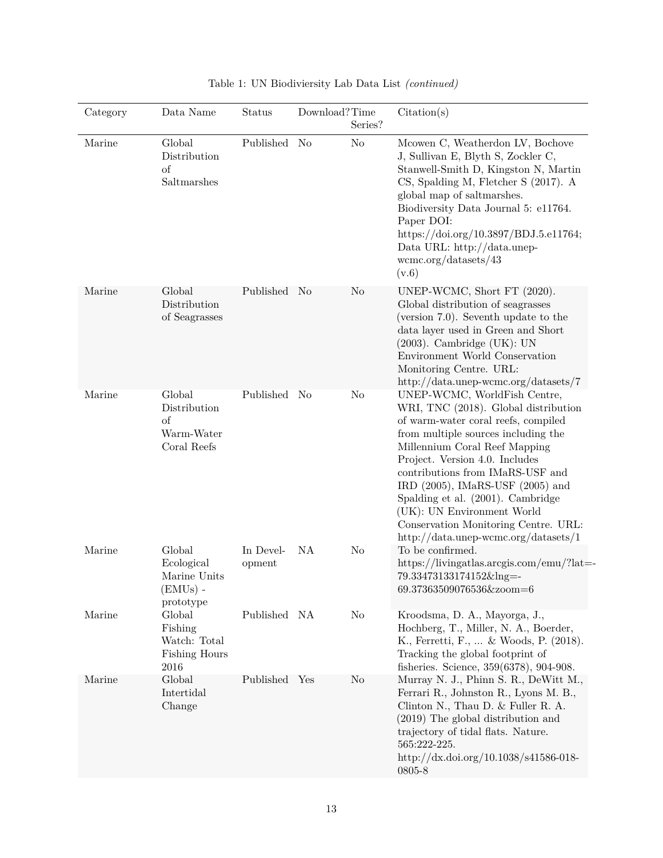| Category | Data Name                                                         | Status              | Download?Time | Series?        | Citation(s)                                                                                                                                                                                                                                                                                                                                                                                                                                           |
|----------|-------------------------------------------------------------------|---------------------|---------------|----------------|-------------------------------------------------------------------------------------------------------------------------------------------------------------------------------------------------------------------------------------------------------------------------------------------------------------------------------------------------------------------------------------------------------------------------------------------------------|
| Marine   | Global<br>Distribution<br>of<br>Saltmarshes                       | Published           | No            | N <sub>o</sub> | Mcowen C, Weatherdon LV, Bochove<br>J, Sullivan E, Blyth S, Zockler C,<br>Stanwell-Smith D, Kingston N, Martin<br>CS, Spalding M, Fletcher S (2017). A<br>global map of saltmarshes.<br>Biodiversity Data Journal 5: e11764.<br>Paper DOI:<br>https://doi.org/10.3897/BDJ.5.e11764;<br>Data URL: http://data.unep-<br>wcmc.org/datasets/43<br>(v.6)                                                                                                   |
| Marine   | Global<br>Distribution<br>of Seagrasses                           | Published No        |               | No             | UNEP-WCMC, Short FT (2020).<br>Global distribution of seagrasses<br>(version 7.0). Seventh update to the<br>data layer used in Green and Short<br>$(2003)$ . Cambridge $(UK)$ : UN<br>Environment World Conservation<br>Monitoring Centre. URL:<br>http://data.unep-wcmc.org/datasets/7                                                                                                                                                               |
| Marine   | Global<br>Distribution<br>of<br>Warm-Water<br>Coral Reefs         | Published No        |               | No             | UNEP-WCMC, WorldFish Centre,<br>WRI, TNC (2018). Global distribution<br>of warm-water coral reefs, compiled<br>from multiple sources including the<br>Millennium Coral Reef Mapping<br>Project. Version 4.0. Includes<br>contributions from IMaRS-USF and<br>IRD $(2005)$ , IMaRS-USF $(2005)$ and<br>Spalding et al. (2001). Cambridge<br>(UK): UN Environment World<br>Conservation Monitoring Centre. URL:<br>http://data.unep-wcmc.org/datasets/1 |
| Marine   | Global<br>Ecological<br>Marine Units<br>$(EMUs)$ -<br>prototype   | In Devel-<br>opment | NA            | No             | To be confirmed.<br>https://livingatlas.arcgis.com/emu/?lat=-<br>79.33473133174152&lng=-<br>69.37363509076536&zoom=6                                                                                                                                                                                                                                                                                                                                  |
| Marine   | Global<br>Fishing<br>Watch: Total<br><b>Fishing Hours</b><br>2016 | Published NA        |               | N <sub>o</sub> | Kroodsma, D. A., Mayorga, J.,<br>Hochberg, T., Miller, N. A., Boerder,<br>K., Ferretti, F.,  & Woods, P. (2018).<br>Tracking the global footprint of<br>fisheries. Science, 359(6378), 904-908.                                                                                                                                                                                                                                                       |
| Marine   | Global<br>Intertidal<br>Change                                    | Published Yes       |               | N <sub>o</sub> | Murray N. J., Phinn S. R., DeWitt M.,<br>Ferrari R., Johnston R., Lyons M. B.,<br>Clinton N., Thau D. & Fuller R. A.<br>$(2019)$ The global distribution and<br>trajectory of tidal flats. Nature.<br>565:222-225.<br>http://dx.doi.org/10.1038/s41586-018-<br>0805-8                                                                                                                                                                                 |

|  |  | Table 1: UN Biodiviersity Lab Data List (continued) |  |  |  |  |  |
|--|--|-----------------------------------------------------|--|--|--|--|--|
|--|--|-----------------------------------------------------|--|--|--|--|--|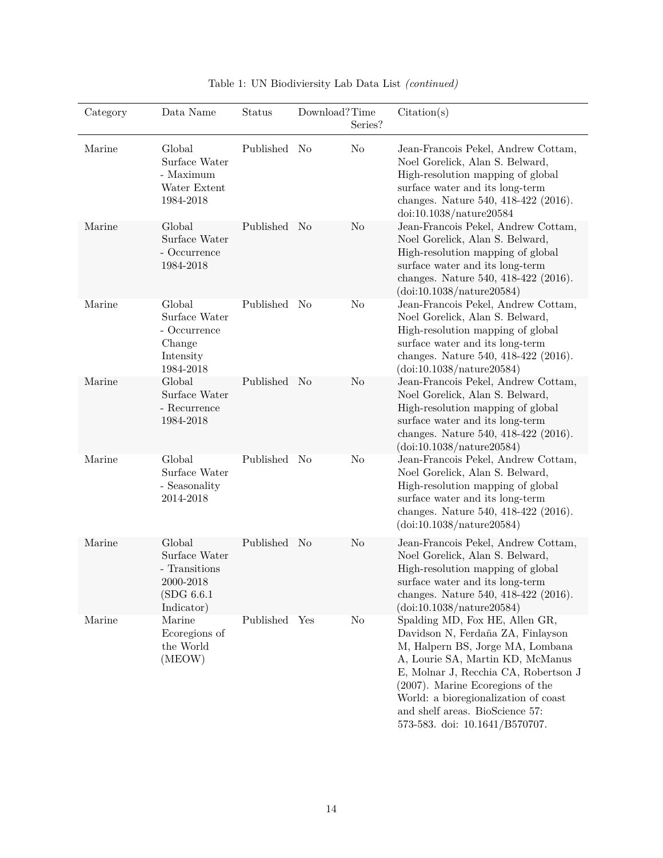| Category | Data Name                                                                          | Status        | Download?Time  | Series?        | Citation(s)                                                                                                                                                                                                                                                                                                                               |
|----------|------------------------------------------------------------------------------------|---------------|----------------|----------------|-------------------------------------------------------------------------------------------------------------------------------------------------------------------------------------------------------------------------------------------------------------------------------------------------------------------------------------------|
| Marine   | Global<br>Surface Water<br>- Maximum<br>Water Extent<br>1984-2018                  | Published No  |                | N <sub>o</sub> | Jean-Francois Pekel, Andrew Cottam,<br>Noel Gorelick, Alan S. Belward,<br>High-resolution mapping of global<br>surface water and its long-term<br>changes. Nature 540, 418-422 (2016).<br>doi:10.1038/nature20584                                                                                                                         |
| Marine   | Global<br>Surface Water<br>- Occurrence<br>1984-2018                               | Published     | No             | No             | Jean-Francois Pekel, Andrew Cottam,<br>Noel Gorelick, Alan S. Belward,<br>High-resolution mapping of global<br>surface water and its long-term<br>changes. Nature 540, 418-422 (2016).<br>(doi:10.1038/nature20584)                                                                                                                       |
| Marine   | Global<br>Surface Water<br>- Occurrence<br>Change<br>Intensity<br>1984-2018        | Published     | N <sub>o</sub> | No             | Jean-Francois Pekel, Andrew Cottam,<br>Noel Gorelick, Alan S. Belward,<br>High-resolution mapping of global<br>surface water and its long-term<br>changes. Nature 540, 418-422 (2016).<br>(doi:10.1038/nature20584)                                                                                                                       |
| Marine   | Global<br>Surface Water<br>- Recurrence<br>1984-2018                               | Published     | N <sub>o</sub> | No             | Jean-Francois Pekel, Andrew Cottam,<br>Noel Gorelick, Alan S. Belward,<br>High-resolution mapping of global<br>surface water and its long-term<br>changes. Nature 540, 418-422 (2016).<br>(doi:10.1038/nature20584)                                                                                                                       |
| Marine   | Global<br>Surface Water<br>- Seasonality<br>2014-2018                              | Published     | N <sub>o</sub> | N <sub>o</sub> | Jean-Francois Pekel, Andrew Cottam,<br>Noel Gorelick, Alan S. Belward,<br>High-resolution mapping of global<br>surface water and its long-term<br>changes. Nature 540, 418-422 (2016).<br>(doi:10.1038/nature20584)                                                                                                                       |
| Marine   | Global<br>Surface Water<br>- Transitions<br>2000-2018<br>(SDG 6.6.1)<br>Indicator) | Published No  |                | N <sub>o</sub> | Jean-Francois Pekel, Andrew Cottam,<br>Noel Gorelick, Alan S. Belward,<br>High-resolution mapping of global<br>surface water and its long-term<br>changes. Nature 540, 418-422 (2016).<br>(doi:10.1038/nature20584)                                                                                                                       |
| Marine   | Marine<br>Ecoregions of<br>the World<br>(MEOW)                                     | Published Yes |                | No             | Spalding MD, Fox HE, Allen GR,<br>Davidson N, Ferdaña ZA, Finlayson<br>M, Halpern BS, Jorge MA, Lombana<br>A, Lourie SA, Martin KD, McManus<br>E, Molnar J, Recchia CA, Robertson J<br>$(2007)$ . Marine Ecoregions of the<br>World: a bioregionalization of coast<br>and shelf areas. BioScience $57:$<br>573-583. doi: 10.1641/B570707. |

| Table 1: UN Biodiviersity Lab Data List (continued) |  |
|-----------------------------------------------------|--|
|-----------------------------------------------------|--|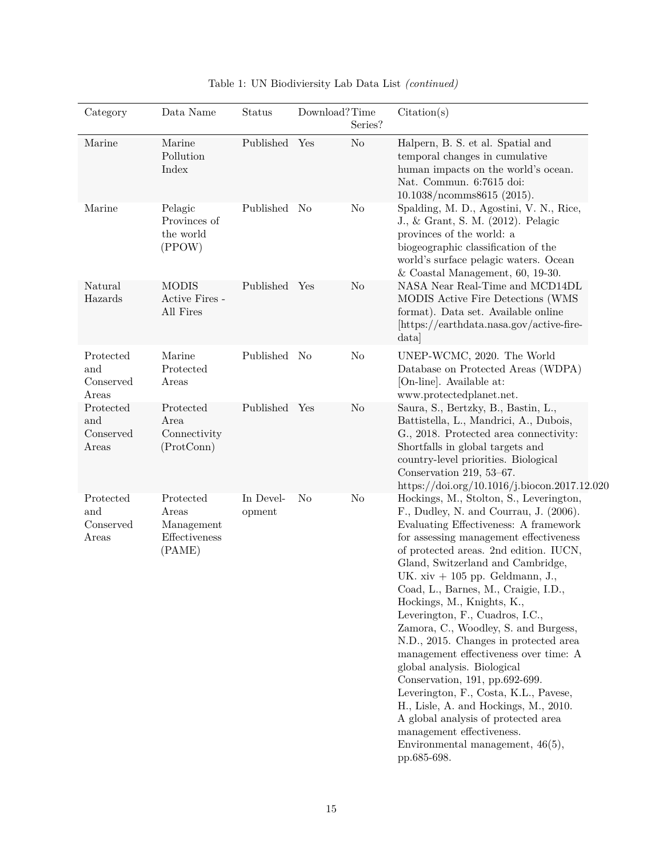| Category                                        | Data Name                                                   | <b>Status</b>       | $\operatorname{Download?Time}$ | Series?        | Citation(s)                                                                                                                                                                                                                                                                                                                                                                                                                                                                                                                                                                                                                                                                                                                                                                                              |
|-------------------------------------------------|-------------------------------------------------------------|---------------------|--------------------------------|----------------|----------------------------------------------------------------------------------------------------------------------------------------------------------------------------------------------------------------------------------------------------------------------------------------------------------------------------------------------------------------------------------------------------------------------------------------------------------------------------------------------------------------------------------------------------------------------------------------------------------------------------------------------------------------------------------------------------------------------------------------------------------------------------------------------------------|
| Marine                                          | Marine<br>Pollution<br>Index                                | Published Yes       |                                | N <sub>o</sub> | Halpern, B. S. et al. Spatial and<br>temporal changes in cumulative<br>human impacts on the world's ocean.<br>Nat. Commun. 6:7615 doi:<br>10.1038/ncomms8615 (2015).                                                                                                                                                                                                                                                                                                                                                                                                                                                                                                                                                                                                                                     |
| Marine                                          | Pelagic<br>Provinces of<br>the world<br>(PPOW)              | Published No        |                                | N <sub>o</sub> | Spalding, M. D., Agostini, V. N., Rice,<br>J., & Grant, S. M. (2012). Pelagic<br>provinces of the world: a<br>biogeographic classification of the<br>world's surface pelagic waters. Ocean<br>$&$ Coastal Management, 60, 19-30.                                                                                                                                                                                                                                                                                                                                                                                                                                                                                                                                                                         |
| Natural<br>Hazards                              | <b>MODIS</b><br>Active Fires -<br>All Fires                 | Published Yes       |                                | N <sub>o</sub> | NASA Near Real-Time and MCD14DL<br>MODIS Active Fire Detections (WMS<br>format). Data set. Available online<br>[https://earthdata.nasa.gov/active-fire-<br>data                                                                                                                                                                                                                                                                                                                                                                                                                                                                                                                                                                                                                                          |
| Protected<br>and<br>Conserved<br>Areas          | Marine<br>Protected<br>Areas                                | Published No        |                                | N <sub>o</sub> | UNEP-WCMC, 2020. The World<br>Database on Protected Areas (WDPA)<br>[On-line]. Available at:<br>www.protectedplanet.net.                                                                                                                                                                                                                                                                                                                                                                                                                                                                                                                                                                                                                                                                                 |
| Protected<br>and<br>Conserved<br>Areas          | Protected<br>Area<br>Connectivity<br>(ProtConn)             | Published Yes       |                                | No             | Saura, S., Bertzky, B., Bastin, L.,<br>Battistella, L., Mandrici, A., Dubois,<br>G., 2018. Protected area connectivity:<br>Shortfalls in global targets and<br>country-level priorities. Biological<br>Conservation 219, 53-67.<br>https://doi.org/10.1016/j.biocon.2017.12.020                                                                                                                                                                                                                                                                                                                                                                                                                                                                                                                          |
| Protected<br>and<br>Conserved<br>$_{\rm Areas}$ | Protected<br>Areas<br>Management<br>Effectiveness<br>(PAME) | In Devel-<br>opment | N <sub>o</sub>                 | $\rm No$       | Hockings, M., Stolton, S., Leverington,<br>F., Dudley, N. and Courrau, J. (2006).<br>Evaluating Effectiveness: A framework<br>for assessing management effectiveness<br>of protected areas. 2nd edition. IUCN,<br>Gland, Switzerland and Cambridge,<br>UK. $xiv + 105$ pp. Geldmann, J.,<br>Coad, L., Barnes, M., Craigie, I.D.,<br>Hockings, M., Knights, K.,<br>Leverington, F., Cuadros, I.C.,<br>Zamora, C., Woodley, S. and Burgess,<br>N.D., 2015. Changes in protected area<br>management effectiveness over time: A<br>global analysis. Biological<br>Conservation, 191, pp.692-699.<br>Leverington, F., Costa, K.L., Pavese,<br>H., Lisle, A. and Hockings, M., 2010.<br>A global analysis of protected area<br>management effectiveness.<br>Environmental management, $46(5)$ ,<br>pp.685-698. |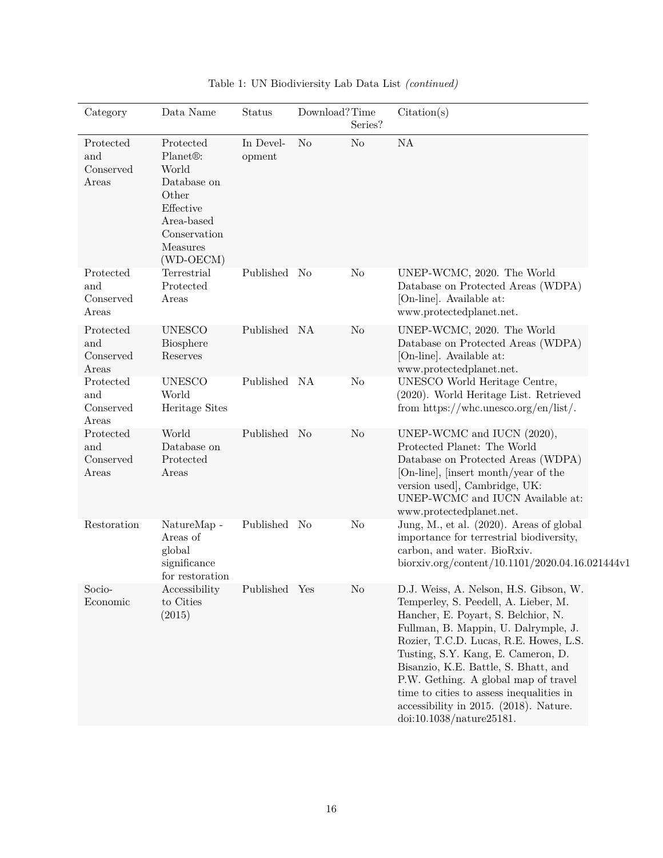| Category                               | Data Name                                                                                                                                        | Status              | Download?Time  | Series?        | Citation(s)                                                                                                                                                                                                                                                                                                                                                                                                                                     |
|----------------------------------------|--------------------------------------------------------------------------------------------------------------------------------------------------|---------------------|----------------|----------------|-------------------------------------------------------------------------------------------------------------------------------------------------------------------------------------------------------------------------------------------------------------------------------------------------------------------------------------------------------------------------------------------------------------------------------------------------|
| Protected<br>and<br>Conserved<br>Areas | Protected<br>Planet <sup>®</sup> :<br>World<br>Database on<br>Other<br>Effective<br>Area-based<br>Conservation<br><b>Measures</b><br>$(WD-OECM)$ | In Devel-<br>opment | N <sub>o</sub> | N <sub>o</sub> | NA                                                                                                                                                                                                                                                                                                                                                                                                                                              |
| Protected<br>and<br>Conserved<br>Areas | Terrestrial<br>Protected<br>Areas                                                                                                                | Published No        |                | N <sub>o</sub> | UNEP-WCMC, 2020. The World<br>Database on Protected Areas (WDPA)<br>[On-line]. Available at:<br>www.protectedplanet.net.                                                                                                                                                                                                                                                                                                                        |
| Protected<br>and<br>Conserved<br>Areas | <b>UNESCO</b><br>Biosphere<br>Reserves                                                                                                           | Published NA        |                | N <sub>o</sub> | UNEP-WCMC, 2020. The World<br>Database on Protected Areas (WDPA)<br>[On-line]. Available at:<br>www.protectedplanet.net.                                                                                                                                                                                                                                                                                                                        |
| Protected<br>and<br>Conserved<br>Areas | <b>UNESCO</b><br>World<br>Heritage Sites                                                                                                         | Published NA        |                | N <sub>o</sub> | UNESCO World Heritage Centre,<br>(2020). World Heritage List. Retrieved<br>from https://whc.unesco.org/en/list/.                                                                                                                                                                                                                                                                                                                                |
| Protected<br>and<br>Conserved<br>Areas | World<br>Database on<br>Protected<br>Areas                                                                                                       | Published No        |                | N <sub>o</sub> | UNEP-WCMC and IUCN (2020),<br>Protected Planet: The World<br>Database on Protected Areas (WDPA)<br>[On-line], [insert month/year of the<br>version used], Cambridge, UK:<br>UNEP-WCMC and IUCN Available at:<br>www.protectedplanet.net.                                                                                                                                                                                                        |
| Restoration                            | NatureMap -<br>Areas of<br>global<br>significance<br>for restoration                                                                             | Published No        |                | N <sub>o</sub> | Jung, M., et al. (2020). Areas of global<br>importance for terrestrial biodiversity,<br>carbon, and water. BioRxiv.<br>biorxiv.org/content/10.1101/2020.04.16.021444v1                                                                                                                                                                                                                                                                          |
| Socio-<br>Economic                     | Accessibility<br>to Cities<br>(2015)                                                                                                             | Published Yes       |                | No             | D.J. Weiss, A. Nelson, H.S. Gibson, W.<br>Temperley, S. Peedell, A. Lieber, M.<br>Hancher, E. Poyart, S. Belchior, N.<br>Fullman, B. Mappin, U. Dalrymple, J.<br>Rozier, T.C.D. Lucas, R.E. Howes, L.S.<br>Tusting, S.Y. Kang, E. Cameron, D.<br>Bisanzio, K.E. Battle, S. Bhatt, and<br>P.W. Gething. A global map of travel<br>time to cities to assess inequalities in<br>accessibility in 2015. (2018). Nature.<br>doi:10.1038/nature25181. |

Table 1: UN Biodiviersity Lab Data List *(continued)*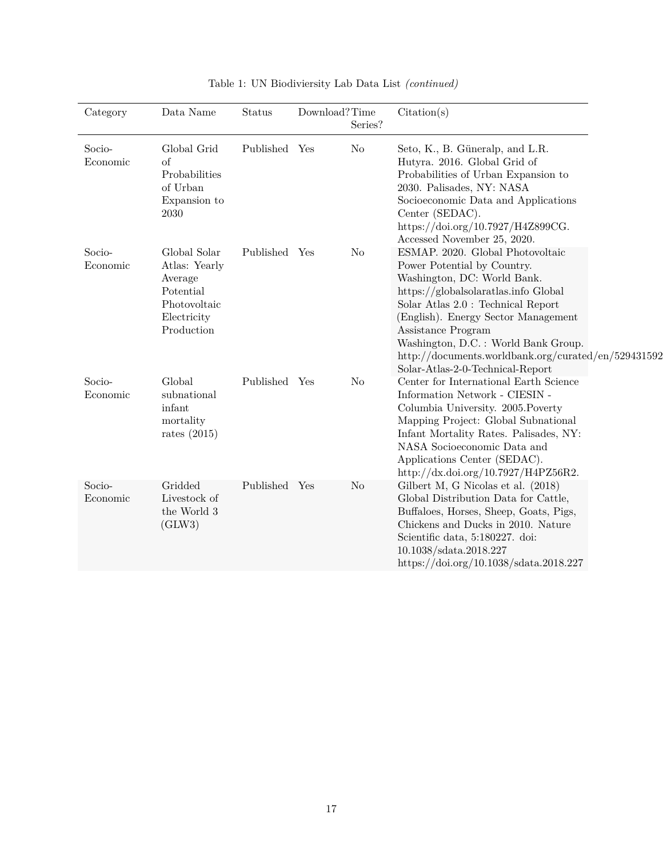| Category           | Data Name                                                                                          | Status        | Download?Time | Series?        | Citation(s)                                                                                                                                                                                                                                                                                                                                                                  |  |
|--------------------|----------------------------------------------------------------------------------------------------|---------------|---------------|----------------|------------------------------------------------------------------------------------------------------------------------------------------------------------------------------------------------------------------------------------------------------------------------------------------------------------------------------------------------------------------------------|--|
| Socio-<br>Economic | Global Grid<br>of<br>Probabilities<br>of Urban<br>Expansion to<br>2030                             | Published Yes |               | No             | Seto, K., B. Güneralp, and L.R.<br>Hutyra. 2016. Global Grid of<br>Probabilities of Urban Expansion to<br>2030. Palisades, NY: NASA<br>Socioeconomic Data and Applications<br>Center (SEDAC).<br>https://doi.org/10.7927/H4Z899CG.<br>Accessed November 25, 2020.                                                                                                            |  |
| Socio-<br>Economic | Global Solar<br>Atlas: Yearly<br>Average<br>Potential<br>Photovoltaic<br>Electricity<br>Production | Published Yes |               | No             | ESMAP. 2020. Global Photovoltaic<br>Power Potential by Country.<br>Washington, DC: World Bank.<br>https://globalsolaratlas.info Global<br>Solar Atlas 2.0 : Technical Report<br>(English). Energy Sector Management<br>Assistance Program<br>Washington, D.C. : World Bank Group.<br>http://documents.worldbank.org/curated/en/529431592<br>Solar-Atlas-2-0-Technical-Report |  |
| Socio-<br>Economic | Global<br>subnational<br>infant<br>mortality<br>rates $(2015)$                                     | Published Yes |               | N <sub>o</sub> | Center for International Earth Science<br>Information Network - CIESIN -<br>Columbia University. 2005. Poverty<br>Mapping Project: Global Subnational<br>Infant Mortality Rates. Palisades, NY:<br>NASA Socioeconomic Data and<br>Applications Center (SEDAC).<br>http://dx.doi.org/10.7927/H4PZ56R2.                                                                        |  |
| Socio-<br>Economic | Gridded<br>Livestock of<br>the World 3<br>(GLW3)                                                   | Published Yes |               | No             | Gilbert M, G Nicolas et al. (2018)<br>Global Distribution Data for Cattle,<br>Buffaloes, Horses, Sheep, Goats, Pigs,<br>Chickens and Ducks in 2010. Nature<br>Scientific data, 5:180227. doi:<br>10.1038/sdata.2018.227<br>https://doi.org/10.1038/sdata.2018.227                                                                                                            |  |

| Table 1: UN Biodiviersity Lab Data List (continued) |
|-----------------------------------------------------|
|-----------------------------------------------------|